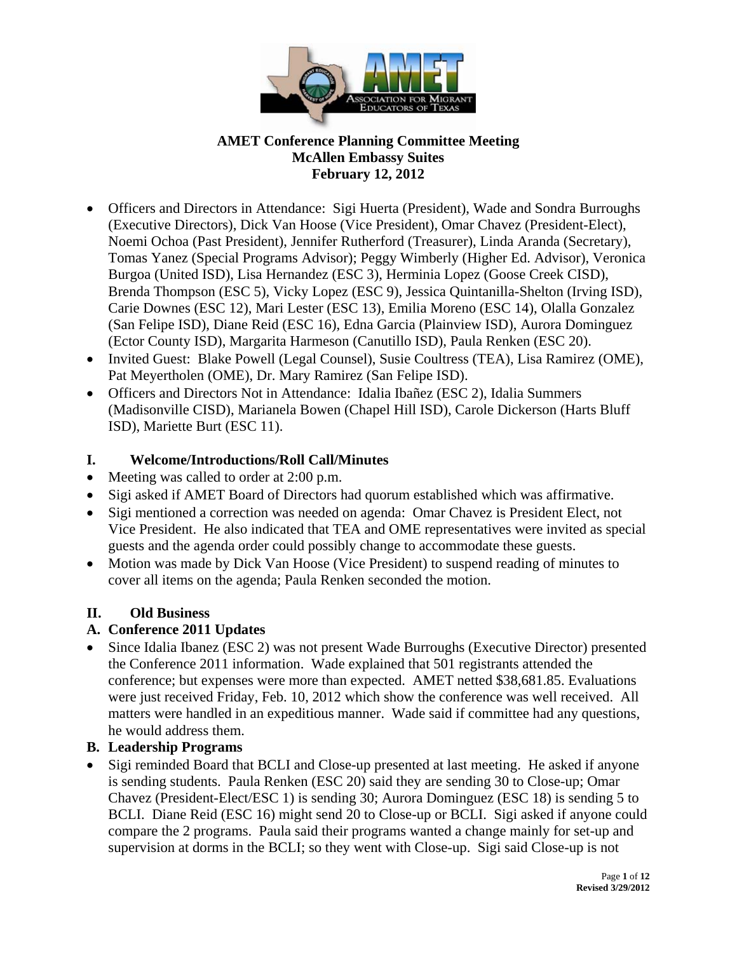

- Officers and Directors in Attendance: Sigi Huerta (President), Wade and Sondra Burroughs (Executive Directors), Dick Van Hoose (Vice President), Omar Chavez (President-Elect), Noemi Ochoa (Past President), Jennifer Rutherford (Treasurer), Linda Aranda (Secretary), Tomas Yanez (Special Programs Advisor); Peggy Wimberly (Higher Ed. Advisor), Veronica Burgoa (United ISD), Lisa Hernandez (ESC 3), Herminia Lopez (Goose Creek CISD), Brenda Thompson (ESC 5), Vicky Lopez (ESC 9), Jessica Quintanilla-Shelton (Irving ISD), Carie Downes (ESC 12), Mari Lester (ESC 13), Emilia Moreno (ESC 14), Olalla Gonzalez (San Felipe ISD), Diane Reid (ESC 16), Edna Garcia (Plainview ISD), Aurora Dominguez (Ector County ISD), Margarita Harmeson (Canutillo ISD), Paula Renken (ESC 20).
- Invited Guest: Blake Powell (Legal Counsel), Susie Coultress (TEA), Lisa Ramirez (OME), Pat Meyertholen (OME), Dr. Mary Ramirez (San Felipe ISD).
- Officers and Directors Not in Attendance: Idalia Ibañez (ESC 2), Idalia Summers (Madisonville CISD), Marianela Bowen (Chapel Hill ISD), Carole Dickerson (Harts Bluff ISD), Mariette Burt (ESC 11).

# **I. Welcome/Introductions/Roll Call/Minutes**

- Meeting was called to order at 2:00 p.m.
- Sigi asked if AMET Board of Directors had quorum established which was affirmative.
- Sigi mentioned a correction was needed on agenda: Omar Chavez is President Elect, not Vice President. He also indicated that TEA and OME representatives were invited as special guests and the agenda order could possibly change to accommodate these guests.
- Motion was made by Dick Van Hoose (Vice President) to suspend reading of minutes to cover all items on the agenda; Paula Renken seconded the motion.

# **II. Old Business**

### **A. Conference 2011 Updates**

• Since Idalia Ibanez (ESC 2) was not present Wade Burroughs (Executive Director) presented the Conference 2011 information. Wade explained that 501 registrants attended the conference; but expenses were more than expected. AMET netted \$38,681.85. Evaluations were just received Friday, Feb. 10, 2012 which show the conference was well received. All matters were handled in an expeditious manner. Wade said if committee had any questions, he would address them.

### **B. Leadership Programs**

• Sigi reminded Board that BCLI and Close-up presented at last meeting. He asked if anyone is sending students. Paula Renken (ESC 20) said they are sending 30 to Close-up; Omar Chavez (President-Elect/ESC 1) is sending 30; Aurora Dominguez (ESC 18) is sending 5 to BCLI. Diane Reid (ESC 16) might send 20 to Close-up or BCLI. Sigi asked if anyone could compare the 2 programs. Paula said their programs wanted a change mainly for set-up and supervision at dorms in the BCLI; so they went with Close-up. Sigi said Close-up is not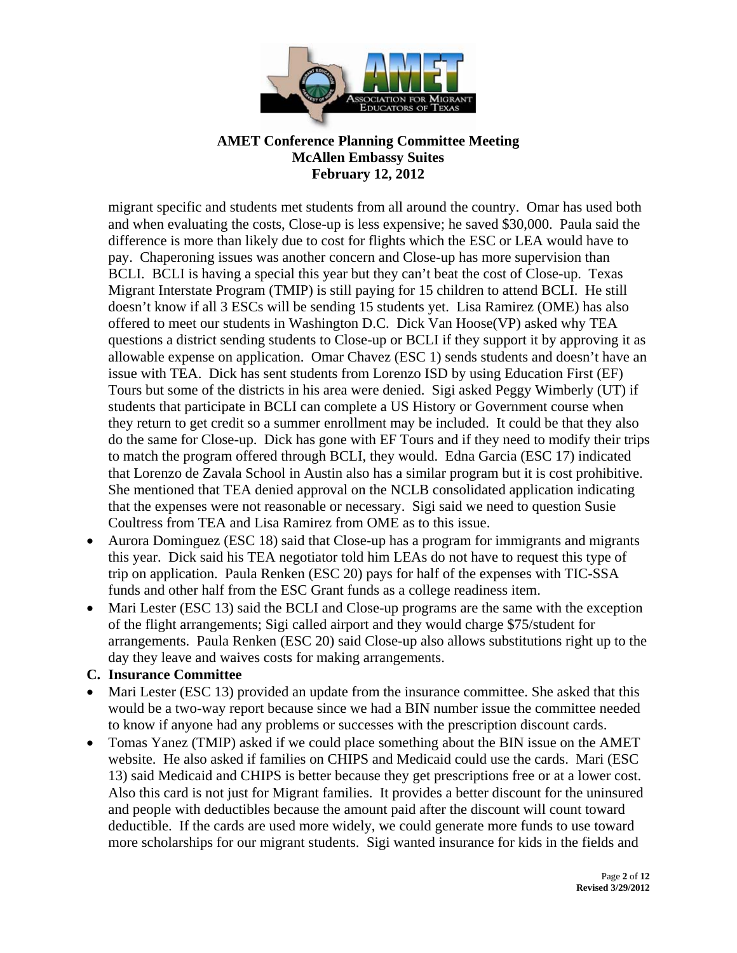

migrant specific and students met students from all around the country. Omar has used both and when evaluating the costs, Close-up is less expensive; he saved \$30,000. Paula said the difference is more than likely due to cost for flights which the ESC or LEA would have to pay. Chaperoning issues was another concern and Close-up has more supervision than BCLI. BCLI is having a special this year but they can't beat the cost of Close-up. Texas Migrant Interstate Program (TMIP) is still paying for 15 children to attend BCLI. He still doesn't know if all 3 ESCs will be sending 15 students yet. Lisa Ramirez (OME) has also offered to meet our students in Washington D.C. Dick Van Hoose(VP) asked why TEA questions a district sending students to Close-up or BCLI if they support it by approving it as allowable expense on application.Omar Chavez (ESC 1) sends students and doesn't have an issue with TEA. Dick has sent students from Lorenzo ISD by using Education First (EF) Tours but some of the districts in his area were denied. Sigi asked Peggy Wimberly (UT) if students that participate in BCLI can complete a US History or Government course when they return to get credit so a summer enrollment may be included. It could be that they also do the same for Close-up. Dick has gone with EF Tours and if they need to modify their trips to match the program offered through BCLI, they would. Edna Garcia (ESC 17) indicated that Lorenzo de Zavala School in Austin also has a similar program but it is cost prohibitive. She mentioned that TEA denied approval on the NCLB consolidated application indicating that the expenses were not reasonable or necessary. Sigi said we need to question Susie Coultress from TEA and Lisa Ramirez from OME as to this issue.

- Aurora Dominguez (ESC 18) said that Close-up has a program for immigrants and migrants this year. Dick said his TEA negotiator told him LEAs do not have to request this type of trip on application. Paula Renken (ESC 20) pays for half of the expenses with TIC-SSA funds and other half from the ESC Grant funds as a college readiness item.
- Mari Lester (ESC 13) said the BCLI and Close-up programs are the same with the exception of the flight arrangements; Sigi called airport and they would charge \$75/student for arrangements. Paula Renken (ESC 20) said Close-up also allows substitutions right up to the day they leave and waives costs for making arrangements.

#### **C. Insurance Committee**

- Mari Lester (ESC 13) provided an update from the insurance committee. She asked that this would be a two-way report because since we had a BIN number issue the committee needed to know if anyone had any problems or successes with the prescription discount cards.
- Tomas Yanez (TMIP) asked if we could place something about the BIN issue on the AMET website. He also asked if families on CHIPS and Medicaid could use the cards. Mari (ESC 13) said Medicaid and CHIPS is better because they get prescriptions free or at a lower cost. Also this card is not just for Migrant families. It provides a better discount for the uninsured and people with deductibles because the amount paid after the discount will count toward deductible. If the cards are used more widely, we could generate more funds to use toward more scholarships for our migrant students. Sigi wanted insurance for kids in the fields and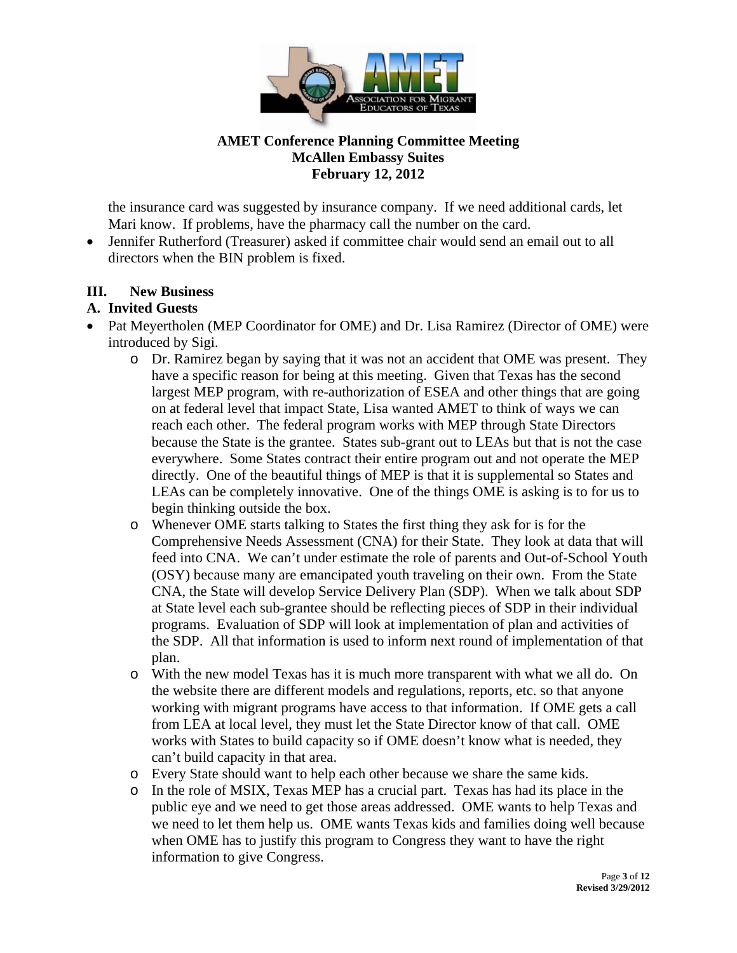

the insurance card was suggested by insurance company. If we need additional cards, let Mari know. If problems, have the pharmacy call the number on the card.

 Jennifer Rutherford (Treasurer) asked if committee chair would send an email out to all directors when the BIN problem is fixed.

## **III. New Business**

## **A. Invited Guests**

- Pat Meyertholen (MEP Coordinator for OME) and Dr. Lisa Ramirez (Director of OME) were introduced by Sigi.
	- o Dr. Ramirez began by saying that it was not an accident that OME was present. They have a specific reason for being at this meeting. Given that Texas has the second largest MEP program, with re-authorization of ESEA and other things that are going on at federal level that impact State, Lisa wanted AMET to think of ways we can reach each other. The federal program works with MEP through State Directors because the State is the grantee. States sub-grant out to LEAs but that is not the case everywhere. Some States contract their entire program out and not operate the MEP directly. One of the beautiful things of MEP is that it is supplemental so States and LEAs can be completely innovative. One of the things OME is asking is to for us to begin thinking outside the box.
	- o Whenever OME starts talking to States the first thing they ask for is for the Comprehensive Needs Assessment (CNA) for their State. They look at data that will feed into CNA. We can't under estimate the role of parents and Out-of-School Youth (OSY) because many are emancipated youth traveling on their own. From the State CNA, the State will develop Service Delivery Plan (SDP). When we talk about SDP at State level each sub-grantee should be reflecting pieces of SDP in their individual programs. Evaluation of SDP will look at implementation of plan and activities of the SDP. All that information is used to inform next round of implementation of that plan.
	- o With the new model Texas has it is much more transparent with what we all do. On the website there are different models and regulations, reports, etc. so that anyone working with migrant programs have access to that information. If OME gets a call from LEA at local level, they must let the State Director know of that call. OME works with States to build capacity so if OME doesn't know what is needed, they can't build capacity in that area.
	- o Every State should want to help each other because we share the same kids.
	- o In the role of MSIX, Texas MEP has a crucial part. Texas has had its place in the public eye and we need to get those areas addressed. OME wants to help Texas and we need to let them help us. OME wants Texas kids and families doing well because when OME has to justify this program to Congress they want to have the right information to give Congress.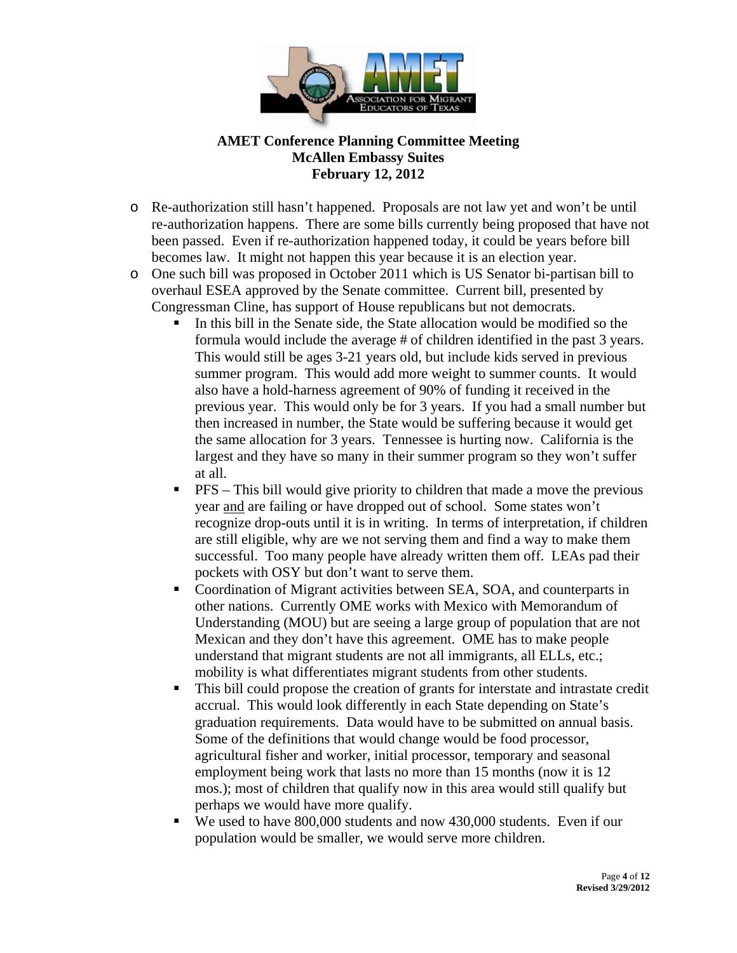

- o Re-authorization still hasn't happened. Proposals are not law yet and won't be until re-authorization happens. There are some bills currently being proposed that have not been passed. Even if re-authorization happened today, it could be years before bill becomes law. It might not happen this year because it is an election year.
- o One such bill was proposed in October 2011 which is US Senator bi-partisan bill to overhaul ESEA approved by the Senate committee. Current bill, presented by Congressman Cline, has support of House republicans but not democrats.
	- In this bill in the Senate side, the State allocation would be modified so the formula would include the average # of children identified in the past 3 years. This would still be ages 3-21 years old, but include kids served in previous summer program. This would add more weight to summer counts. It would also have a hold-harness agreement of 90% of funding it received in the previous year. This would only be for 3 years. If you had a small number but then increased in number, the State would be suffering because it would get the same allocation for 3 years. Tennessee is hurting now. California is the largest and they have so many in their summer program so they won't suffer at all.
	- $\blacksquare$  PFS This bill would give priority to children that made a move the previous year and are failing or have dropped out of school. Some states won't recognize drop-outs until it is in writing. In terms of interpretation, if children are still eligible, why are we not serving them and find a way to make them successful. Too many people have already written them off. LEAs pad their pockets with OSY but don't want to serve them.
	- Coordination of Migrant activities between SEA, SOA, and counterparts in other nations. Currently OME works with Mexico with Memorandum of Understanding (MOU) but are seeing a large group of population that are not Mexican and they don't have this agreement. OME has to make people understand that migrant students are not all immigrants, all ELLs, etc.; mobility is what differentiates migrant students from other students.
	- This bill could propose the creation of grants for interstate and intrastate credit accrual. This would look differently in each State depending on State's graduation requirements. Data would have to be submitted on annual basis. Some of the definitions that would change would be food processor, agricultural fisher and worker, initial processor, temporary and seasonal employment being work that lasts no more than 15 months (now it is 12 mos.); most of children that qualify now in this area would still qualify but perhaps we would have more qualify.
	- We used to have 800,000 students and now 430,000 students. Even if our population would be smaller, we would serve more children.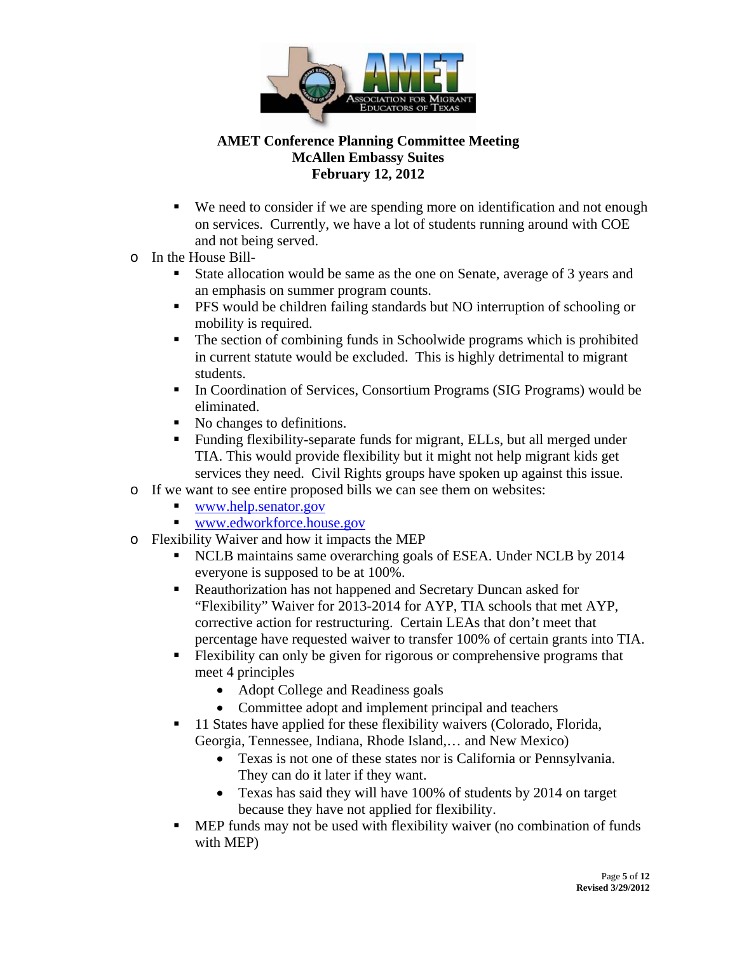

- We need to consider if we are spending more on identification and not enough on services. Currently, we have a lot of students running around with COE and not being served.
- o In the House Bill-
	- State allocation would be same as the one on Senate, average of 3 years and an emphasis on summer program counts.
	- **PFS** would be children failing standards but NO interruption of schooling or mobility is required.
	- The section of combining funds in Schoolwide programs which is prohibited in current statute would be excluded. This is highly detrimental to migrant students.
	- In Coordination of Services, Consortium Programs (SIG Programs) would be eliminated.
	- No changes to definitions.
	- Funding flexibility-separate funds for migrant, ELLs, but all merged under TIA. This would provide flexibility but it might not help migrant kids get services they need. Civil Rights groups have spoken up against this issue.
- o If we want to see entire proposed bills we can see them on websites:
	- www.help.senator.gov
	- www.edworkforce.house.gov
- o Flexibility Waiver and how it impacts the MEP
	- NCLB maintains same overarching goals of ESEA. Under NCLB by 2014 everyone is supposed to be at 100%.
	- Reauthorization has not happened and Secretary Duncan asked for "Flexibility" Waiver for 2013-2014 for AYP, TIA schools that met AYP, corrective action for restructuring. Certain LEAs that don't meet that percentage have requested waiver to transfer 100% of certain grants into TIA.
	- Flexibility can only be given for rigorous or comprehensive programs that meet 4 principles
		- Adopt College and Readiness goals
		- Committee adopt and implement principal and teachers
	- 11 States have applied for these flexibility waivers (Colorado, Florida, Georgia, Tennessee, Indiana, Rhode Island,… and New Mexico)
		- Texas is not one of these states nor is California or Pennsylvania. They can do it later if they want.
		- Texas has said they will have 100% of students by 2014 on target because they have not applied for flexibility.
	- MEP funds may not be used with flexibility waiver (no combination of funds with MEP)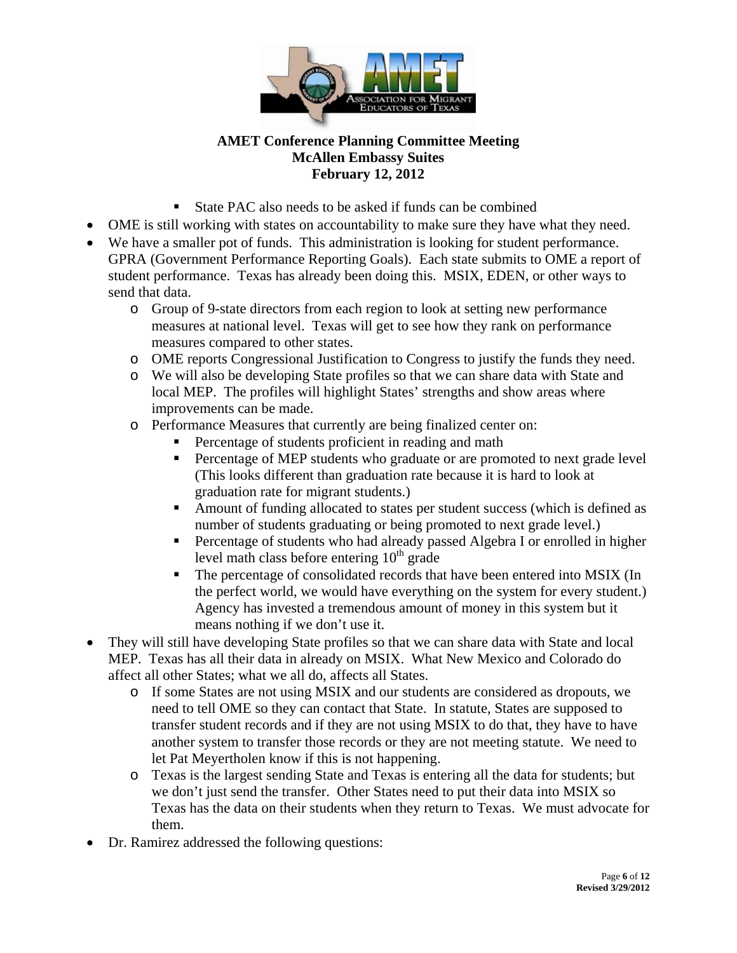

- State PAC also needs to be asked if funds can be combined
- OME is still working with states on accountability to make sure they have what they need.
- We have a smaller pot of funds. This administration is looking for student performance. GPRA (Government Performance Reporting Goals). Each state submits to OME a report of student performance. Texas has already been doing this. MSIX, EDEN, or other ways to send that data.
	- o Group of 9-state directors from each region to look at setting new performance measures at national level. Texas will get to see how they rank on performance measures compared to other states.
	- o OME reports Congressional Justification to Congress to justify the funds they need.
	- o We will also be developing State profiles so that we can share data with State and local MEP. The profiles will highlight States' strengths and show areas where improvements can be made.
	- o Performance Measures that currently are being finalized center on:
		- Percentage of students proficient in reading and math
		- Percentage of MEP students who graduate or are promoted to next grade level (This looks different than graduation rate because it is hard to look at graduation rate for migrant students.)
		- Amount of funding allocated to states per student success (which is defined as number of students graduating or being promoted to next grade level.)
		- **Percentage of students who had already passed Algebra I or enrolled in higher** level math class before entering  $10<sup>th</sup>$  grade
		- The percentage of consolidated records that have been entered into MSIX (In the perfect world, we would have everything on the system for every student.) Agency has invested a tremendous amount of money in this system but it means nothing if we don't use it.
- They will still have developing State profiles so that we can share data with State and local MEP. Texas has all their data in already on MSIX. What New Mexico and Colorado do affect all other States; what we all do, affects all States.
	- o If some States are not using MSIX and our students are considered as dropouts, we need to tell OME so they can contact that State. In statute, States are supposed to transfer student records and if they are not using MSIX to do that, they have to have another system to transfer those records or they are not meeting statute. We need to let Pat Meyertholen know if this is not happening.
	- o Texas is the largest sending State and Texas is entering all the data for students; but we don't just send the transfer. Other States need to put their data into MSIX so Texas has the data on their students when they return to Texas. We must advocate for them.
- Dr. Ramirez addressed the following questions: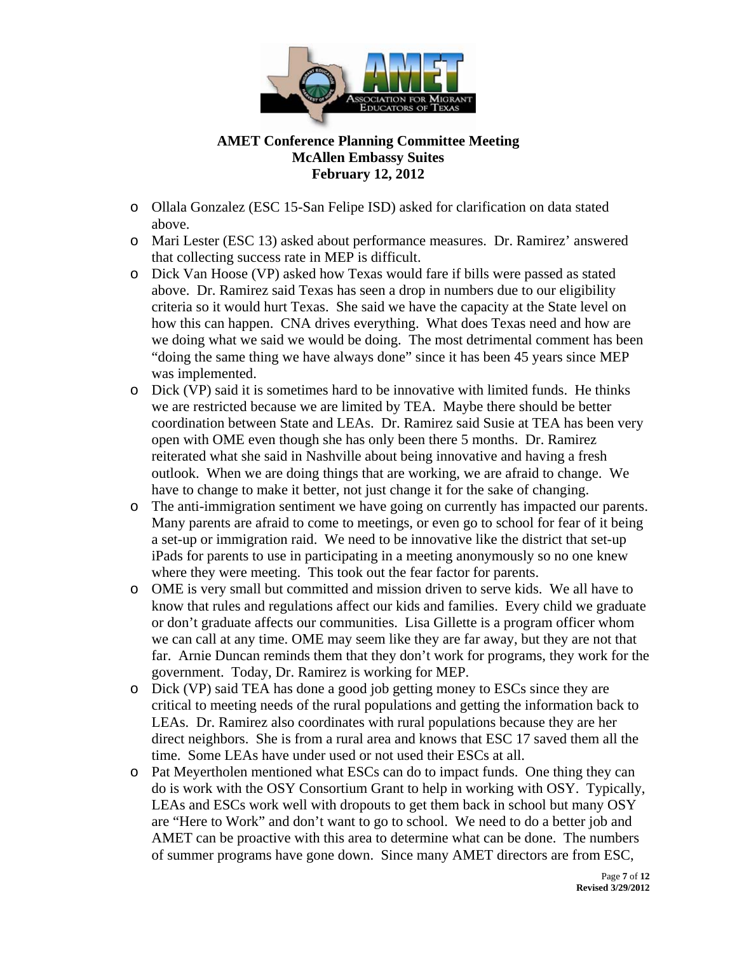

- o Ollala Gonzalez (ESC 15-San Felipe ISD) asked for clarification on data stated above.
- o Mari Lester (ESC 13) asked about performance measures. Dr. Ramirez' answered that collecting success rate in MEP is difficult.
- o Dick Van Hoose (VP) asked how Texas would fare if bills were passed as stated above. Dr. Ramirez said Texas has seen a drop in numbers due to our eligibility criteria so it would hurt Texas. She said we have the capacity at the State level on how this can happen. CNA drives everything. What does Texas need and how are we doing what we said we would be doing. The most detrimental comment has been "doing the same thing we have always done" since it has been 45 years since MEP was implemented.
- o Dick (VP) said it is sometimes hard to be innovative with limited funds. He thinks we are restricted because we are limited by TEA. Maybe there should be better coordination between State and LEAs. Dr. Ramirez said Susie at TEA has been very open with OME even though she has only been there 5 months. Dr. Ramirez reiterated what she said in Nashville about being innovative and having a fresh outlook. When we are doing things that are working, we are afraid to change. We have to change to make it better, not just change it for the sake of changing.
- o The anti-immigration sentiment we have going on currently has impacted our parents. Many parents are afraid to come to meetings, or even go to school for fear of it being a set-up or immigration raid. We need to be innovative like the district that set-up iPads for parents to use in participating in a meeting anonymously so no one knew where they were meeting. This took out the fear factor for parents.
- o OME is very small but committed and mission driven to serve kids. We all have to know that rules and regulations affect our kids and families. Every child we graduate or don't graduate affects our communities. Lisa Gillette is a program officer whom we can call at any time. OME may seem like they are far away, but they are not that far. Arnie Duncan reminds them that they don't work for programs, they work for the government. Today, Dr. Ramirez is working for MEP.
- o Dick (VP) said TEA has done a good job getting money to ESCs since they are critical to meeting needs of the rural populations and getting the information back to LEAs. Dr. Ramirez also coordinates with rural populations because they are her direct neighbors. She is from a rural area and knows that ESC 17 saved them all the time. Some LEAs have under used or not used their ESCs at all.
- o Pat Meyertholen mentioned what ESCs can do to impact funds. One thing they can do is work with the OSY Consortium Grant to help in working with OSY. Typically, LEAs and ESCs work well with dropouts to get them back in school but many OSY are "Here to Work" and don't want to go to school. We need to do a better job and AMET can be proactive with this area to determine what can be done. The numbers of summer programs have gone down. Since many AMET directors are from ESC,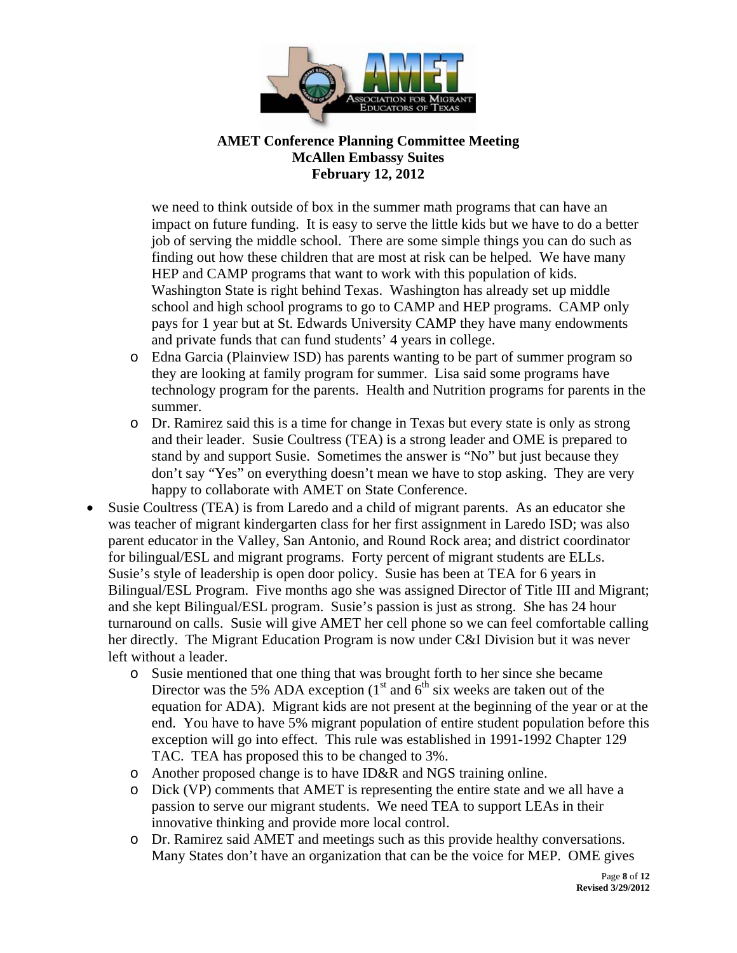

we need to think outside of box in the summer math programs that can have an impact on future funding. It is easy to serve the little kids but we have to do a better job of serving the middle school. There are some simple things you can do such as finding out how these children that are most at risk can be helped. We have many HEP and CAMP programs that want to work with this population of kids. Washington State is right behind Texas. Washington has already set up middle school and high school programs to go to CAMP and HEP programs. CAMP only pays for 1 year but at St. Edwards University CAMP they have many endowments and private funds that can fund students' 4 years in college.

- o Edna Garcia (Plainview ISD) has parents wanting to be part of summer program so they are looking at family program for summer. Lisa said some programs have technology program for the parents. Health and Nutrition programs for parents in the summer.
- o Dr. Ramirez said this is a time for change in Texas but every state is only as strong and their leader. Susie Coultress (TEA) is a strong leader and OME is prepared to stand by and support Susie. Sometimes the answer is "No" but just because they don't say "Yes" on everything doesn't mean we have to stop asking. They are very happy to collaborate with AMET on State Conference.
- Susie Coultress (TEA) is from Laredo and a child of migrant parents. As an educator she was teacher of migrant kindergarten class for her first assignment in Laredo ISD; was also parent educator in the Valley, San Antonio, and Round Rock area; and district coordinator for bilingual/ESL and migrant programs. Forty percent of migrant students are ELLs. Susie's style of leadership is open door policy. Susie has been at TEA for 6 years in Bilingual/ESL Program. Five months ago she was assigned Director of Title III and Migrant; and she kept Bilingual/ESL program. Susie's passion is just as strong. She has 24 hour turnaround on calls. Susie will give AMET her cell phone so we can feel comfortable calling her directly. The Migrant Education Program is now under C&I Division but it was never left without a leader.
	- o Susie mentioned that one thing that was brought forth to her since she became Director was the 5% ADA exception  $(1<sup>st</sup>$  and  $6<sup>th</sup>$  six weeks are taken out of the equation for ADA). Migrant kids are not present at the beginning of the year or at the end. You have to have 5% migrant population of entire student population before this exception will go into effect. This rule was established in 1991-1992 Chapter 129 TAC. TEA has proposed this to be changed to 3%.
	- o Another proposed change is to have ID&R and NGS training online.
	- o Dick (VP) comments that AMET is representing the entire state and we all have a passion to serve our migrant students. We need TEA to support LEAs in their innovative thinking and provide more local control.
	- o Dr. Ramirez said AMET and meetings such as this provide healthy conversations. Many States don't have an organization that can be the voice for MEP. OME gives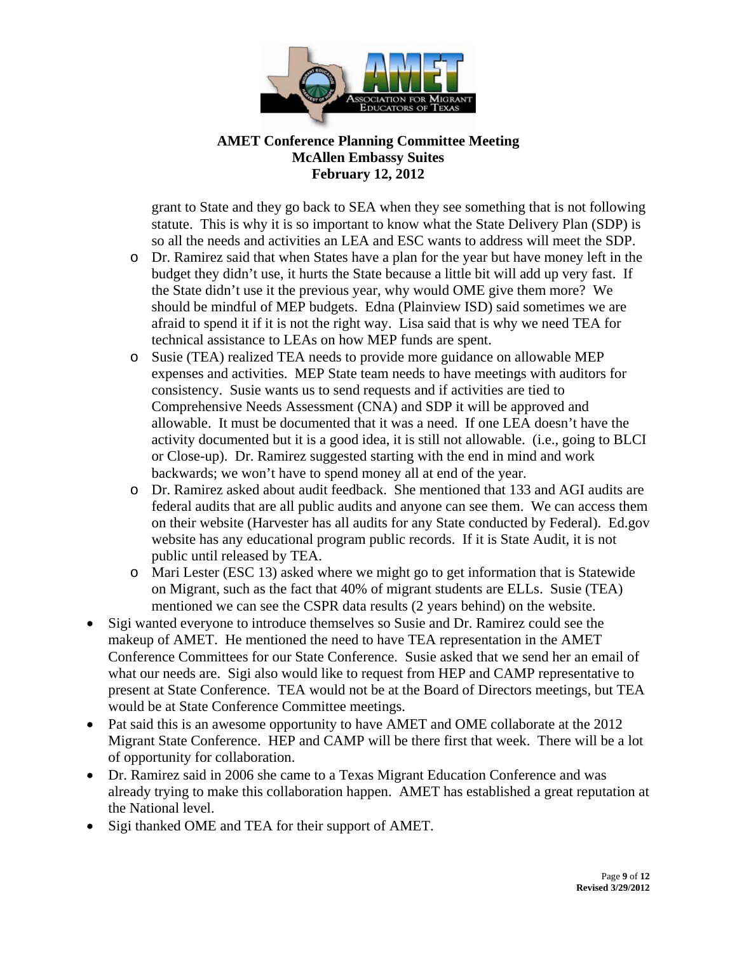

grant to State and they go back to SEA when they see something that is not following statute. This is why it is so important to know what the State Delivery Plan (SDP) is so all the needs and activities an LEA and ESC wants to address will meet the SDP.

- o Dr. Ramirez said that when States have a plan for the year but have money left in the budget they didn't use, it hurts the State because a little bit will add up very fast. If the State didn't use it the previous year, why would OME give them more? We should be mindful of MEP budgets. Edna (Plainview ISD) said sometimes we are afraid to spend it if it is not the right way. Lisa said that is why we need TEA for technical assistance to LEAs on how MEP funds are spent.
- o Susie (TEA) realized TEA needs to provide more guidance on allowable MEP expenses and activities. MEP State team needs to have meetings with auditors for consistency. Susie wants us to send requests and if activities are tied to Comprehensive Needs Assessment (CNA) and SDP it will be approved and allowable. It must be documented that it was a need. If one LEA doesn't have the activity documented but it is a good idea, it is still not allowable. (i.e., going to BLCI or Close-up). Dr. Ramirez suggested starting with the end in mind and work backwards; we won't have to spend money all at end of the year.
- o Dr. Ramirez asked about audit feedback. She mentioned that 133 and AGI audits are federal audits that are all public audits and anyone can see them. We can access them on their website (Harvester has all audits for any State conducted by Federal). Ed.gov website has any educational program public records. If it is State Audit, it is not public until released by TEA.
- o Mari Lester (ESC 13) asked where we might go to get information that is Statewide on Migrant, such as the fact that 40% of migrant students are ELLs. Susie (TEA) mentioned we can see the CSPR data results (2 years behind) on the website.
- Sigi wanted everyone to introduce themselves so Susie and Dr. Ramirez could see the makeup of AMET. He mentioned the need to have TEA representation in the AMET Conference Committees for our State Conference. Susie asked that we send her an email of what our needs are. Sigi also would like to request from HEP and CAMP representative to present at State Conference. TEA would not be at the Board of Directors meetings, but TEA would be at State Conference Committee meetings.
- Pat said this is an awesome opportunity to have AMET and OME collaborate at the 2012 Migrant State Conference. HEP and CAMP will be there first that week. There will be a lot of opportunity for collaboration.
- Dr. Ramirez said in 2006 she came to a Texas Migrant Education Conference and was already trying to make this collaboration happen. AMET has established a great reputation at the National level.
- Sigi thanked OME and TEA for their support of AMET.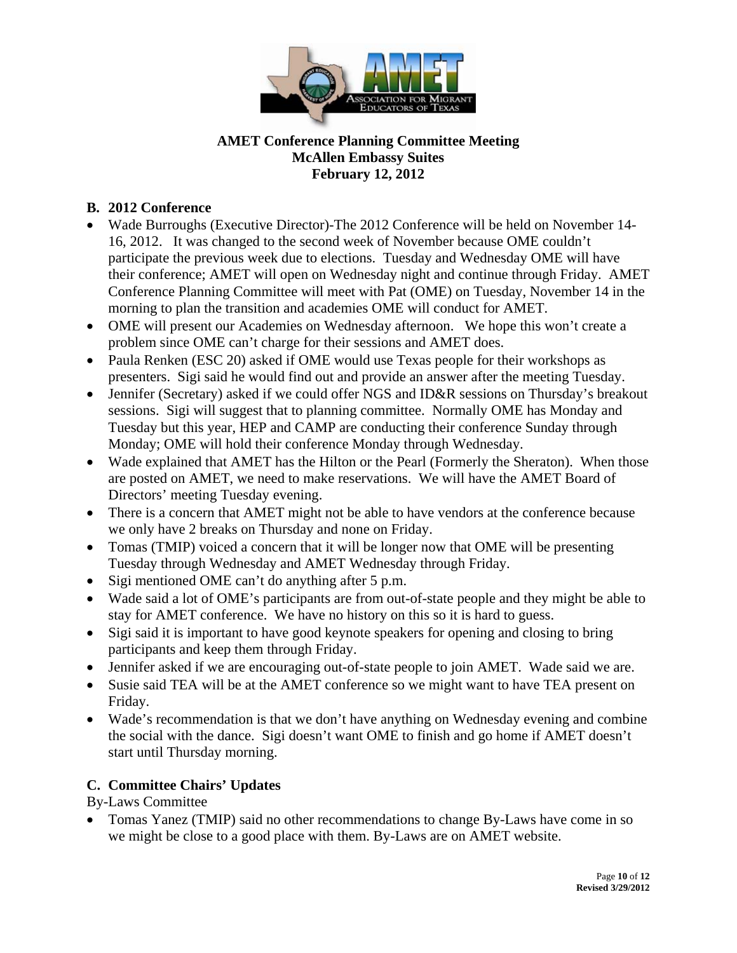

## **B. 2012 Conference**

- Wade Burroughs (Executive Director)-The 2012 Conference will be held on November 14- 16, 2012. It was changed to the second week of November because OME couldn't participate the previous week due to elections. Tuesday and Wednesday OME will have their conference; AMET will open on Wednesday night and continue through Friday. AMET Conference Planning Committee will meet with Pat (OME) on Tuesday, November 14 in the morning to plan the transition and academies OME will conduct for AMET.
- OME will present our Academies on Wednesday afternoon. We hope this won't create a problem since OME can't charge for their sessions and AMET does.
- Paula Renken (ESC 20) asked if OME would use Texas people for their workshops as presenters. Sigi said he would find out and provide an answer after the meeting Tuesday.
- Jennifer (Secretary) asked if we could offer NGS and ID&R sessions on Thursday's breakout sessions. Sigi will suggest that to planning committee. Normally OME has Monday and Tuesday but this year, HEP and CAMP are conducting their conference Sunday through Monday; OME will hold their conference Monday through Wednesday.
- Wade explained that AMET has the Hilton or the Pearl (Formerly the Sheraton). When those are posted on AMET, we need to make reservations. We will have the AMET Board of Directors' meeting Tuesday evening.
- There is a concern that AMET might not be able to have vendors at the conference because we only have 2 breaks on Thursday and none on Friday.
- Tomas (TMIP) voiced a concern that it will be longer now that OME will be presenting Tuesday through Wednesday and AMET Wednesday through Friday.
- Sigi mentioned OME can't do anything after 5 p.m.
- Wade said a lot of OME's participants are from out-of-state people and they might be able to stay for AMET conference. We have no history on this so it is hard to guess.
- Sigi said it is important to have good keynote speakers for opening and closing to bring participants and keep them through Friday.
- Jennifer asked if we are encouraging out-of-state people to join AMET. Wade said we are.
- Susie said TEA will be at the AMET conference so we might want to have TEA present on Friday.
- Wade's recommendation is that we don't have anything on Wednesday evening and combine the social with the dance. Sigi doesn't want OME to finish and go home if AMET doesn't start until Thursday morning.

# **C. Committee Chairs' Updates**

By-Laws Committee

 Tomas Yanez (TMIP) said no other recommendations to change By-Laws have come in so we might be close to a good place with them. By-Laws are on AMET website.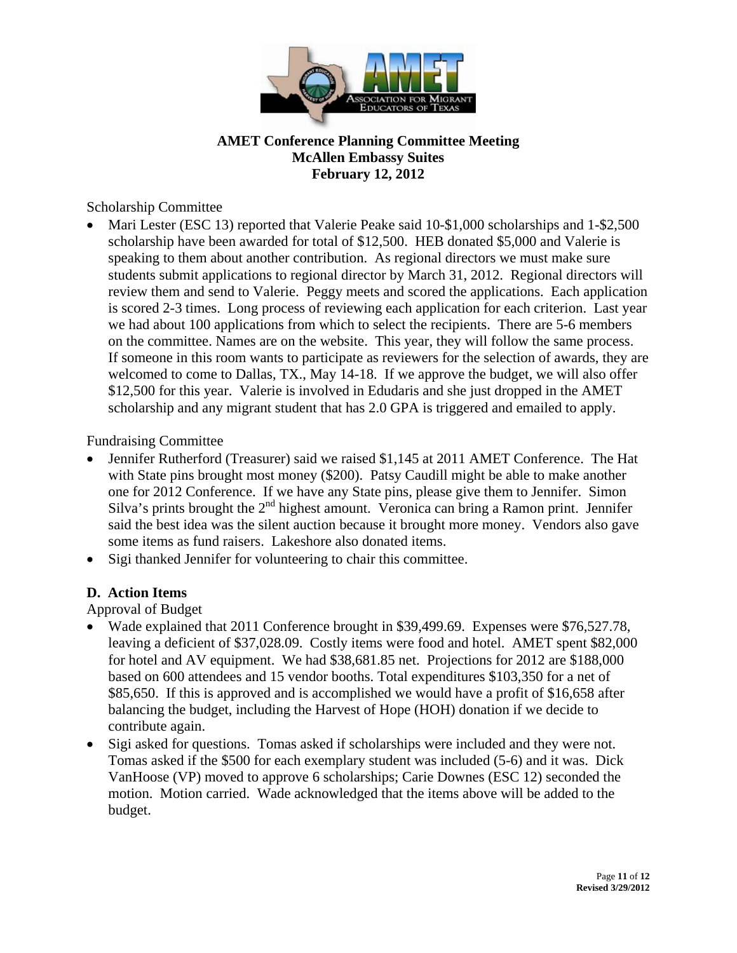

Scholarship Committee

 Mari Lester (ESC 13) reported that Valerie Peake said 10-\$1,000 scholarships and 1-\$2,500 scholarship have been awarded for total of \$12,500. HEB donated \$5,000 and Valerie is speaking to them about another contribution. As regional directors we must make sure students submit applications to regional director by March 31, 2012. Regional directors will review them and send to Valerie. Peggy meets and scored the applications. Each application is scored 2-3 times. Long process of reviewing each application for each criterion. Last year we had about 100 applications from which to select the recipients. There are 5-6 members on the committee. Names are on the website. This year, they will follow the same process. If someone in this room wants to participate as reviewers for the selection of awards, they are welcomed to come to Dallas, TX., May 14-18. If we approve the budget, we will also offer \$12,500 for this year. Valerie is involved in Edudaris and she just dropped in the AMET scholarship and any migrant student that has 2.0 GPA is triggered and emailed to apply.

Fundraising Committee

- Jennifer Rutherford (Treasurer) said we raised \$1,145 at 2011 AMET Conference. The Hat with State pins brought most money (\$200). Patsy Caudill might be able to make another one for 2012 Conference. If we have any State pins, please give them to Jennifer. Simon Silva's prints brought the  $2<sup>nd</sup>$  highest amount. Veronica can bring a Ramon print. Jennifer said the best idea was the silent auction because it brought more money. Vendors also gave some items as fund raisers. Lakeshore also donated items.
- Sigi thanked Jennifer for volunteering to chair this committee.

# **D. Action Items**

Approval of Budget

- Wade explained that 2011 Conference brought in \$39,499.69. Expenses were \$76,527.78, leaving a deficient of \$37,028.09. Costly items were food and hotel. AMET spent \$82,000 for hotel and AV equipment. We had \$38,681.85 net. Projections for 2012 are \$188,000 based on 600 attendees and 15 vendor booths. Total expenditures \$103,350 for a net of \$85,650. If this is approved and is accomplished we would have a profit of \$16,658 after balancing the budget, including the Harvest of Hope (HOH) donation if we decide to contribute again.
- Sigi asked for questions. Tomas asked if scholarships were included and they were not. Tomas asked if the \$500 for each exemplary student was included (5-6) and it was. Dick VanHoose (VP) moved to approve 6 scholarships; Carie Downes (ESC 12) seconded the motion. Motion carried. Wade acknowledged that the items above will be added to the budget.